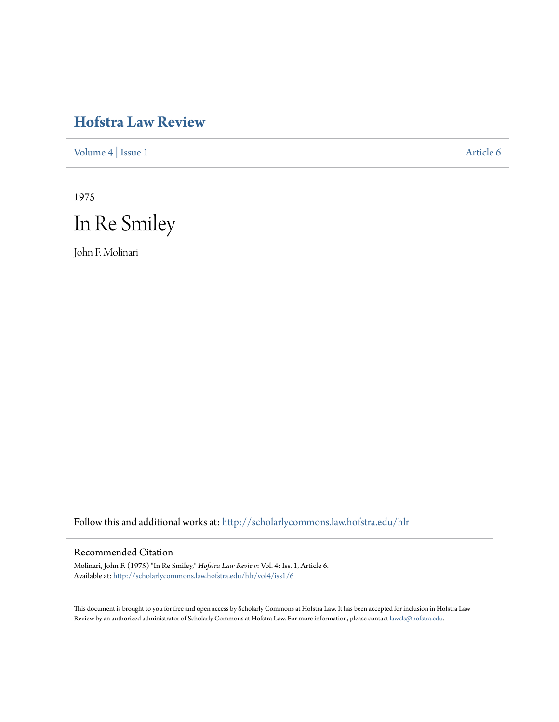# **[Hofstra Law Review](http://scholarlycommons.law.hofstra.edu/hlr?utm_source=scholarlycommons.law.hofstra.edu%2Fhlr%2Fvol4%2Fiss1%2F6&utm_medium=PDF&utm_campaign=PDFCoverPages)**

[Volume 4](http://scholarlycommons.law.hofstra.edu/hlr/vol4?utm_source=scholarlycommons.law.hofstra.edu%2Fhlr%2Fvol4%2Fiss1%2F6&utm_medium=PDF&utm_campaign=PDFCoverPages) | [Issue 1](http://scholarlycommons.law.hofstra.edu/hlr/vol4/iss1?utm_source=scholarlycommons.law.hofstra.edu%2Fhlr%2Fvol4%2Fiss1%2F6&utm_medium=PDF&utm_campaign=PDFCoverPages) [Article 6](http://scholarlycommons.law.hofstra.edu/hlr/vol4/iss1/6?utm_source=scholarlycommons.law.hofstra.edu%2Fhlr%2Fvol4%2Fiss1%2F6&utm_medium=PDF&utm_campaign=PDFCoverPages)

1975



John F. Molinari

Follow this and additional works at: [http://scholarlycommons.law.hofstra.edu/hlr](http://scholarlycommons.law.hofstra.edu/hlr?utm_source=scholarlycommons.law.hofstra.edu%2Fhlr%2Fvol4%2Fiss1%2F6&utm_medium=PDF&utm_campaign=PDFCoverPages)

# Recommended Citation

Molinari, John F. (1975) "In Re Smiley," *Hofstra Law Review*: Vol. 4: Iss. 1, Article 6. Available at: [http://scholarlycommons.law.hofstra.edu/hlr/vol4/iss1/6](http://scholarlycommons.law.hofstra.edu/hlr/vol4/iss1/6?utm_source=scholarlycommons.law.hofstra.edu%2Fhlr%2Fvol4%2Fiss1%2F6&utm_medium=PDF&utm_campaign=PDFCoverPages)

This document is brought to you for free and open access by Scholarly Commons at Hofstra Law. It has been accepted for inclusion in Hofstra Law Review by an authorized administrator of Scholarly Commons at Hofstra Law. For more information, please contact [lawcls@hofstra.edu](mailto:lawcls@hofstra.edu).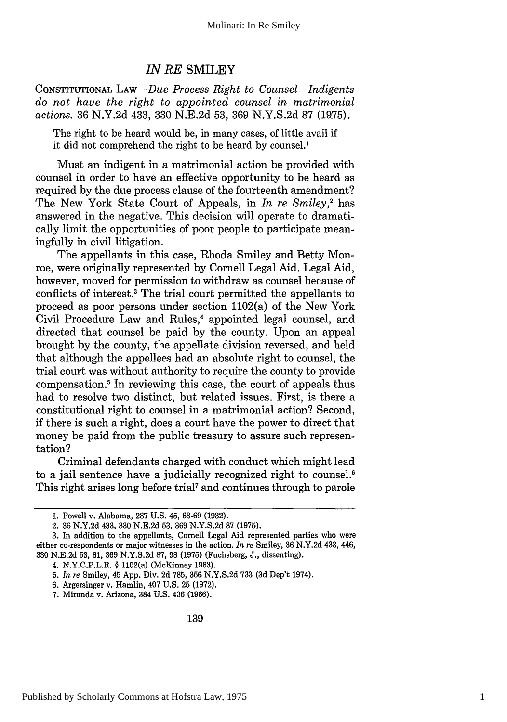# *IN RE* SMILEY

CONSTITUTIONAL LAw-Due Process *Right to Counsel-Indigents do not have the right to appointed counsel in matrimonial actions.* 36 N.Y.2d 433, 330 N.E.2d 53, 369 N.Y.S.2d 87 (1975).

The right to be heard would be, in many cases, of little avail if it did not comprehend the right to be heard by counsel.'

Must an indigent in a matrimonial action be provided with counsel in order to have an effective opportunity to be heard as required by the due process clause of the fourteenth amendment? The New York State Court of Appeals, in *In re Smiley,2* has answered in the negative. This decision will operate to dramatically limit the opportunities of poor people to participate meaningfully in civil litigation.

The appellants in this case, Rhoda Smiley and Betty Monroe, were originally represented by Cornell Legal Aid. Legal Aid, however, moved for permission to withdraw as counsel because of conflicts of interest.3 The trial court permitted the appellants to proceed as poor persons under section 1102(a) of the New York Civil Procedure Law and Rules,<sup>4</sup> appointed legal counsel, and directed that counsel be paid by the county. Upon an appeal brought by the county, the appellate division reversed, and held that although the appellees had an absolute right to counsel, the trial court was without authority to require the county to provide compensation.5 In reviewing this case, the court of appeals thus had to resolve two distinct, but related issues. First, is there a constitutional right to counsel in a matrimonial action? Second, if there is such a right, does a court have the power to direct that money be paid from the public treasury to assure such representation?

Criminal defendants charged with conduct which might lead to a jail sentence have a judicially recognized right to counsel.<sup>6</sup> This right arises long before trial<sup>7</sup> and continues through to parole

4. N.Y.C.P.L.R. § 1102(a) (McKinney 1963).

<sup>1.</sup> Powell v. Alabama, 287 U.S. 45, 68-69 (1932).

<sup>2. 36</sup> N.Y.2d 433, 330 N.E.2d 53, 369 N.Y.S.2d 87 (1975).

<sup>3.</sup> In addition to the appellants, Cornell Legal Aid represented parties who were either co-respondents or major witnesses in the action. *In re* Smiley, 36 N.Y.2d 433, 446, 330 N.E.2d 53, 61, 369 N.Y.S.2d 87, 98 (1975) (Fuchsberg, J., dissenting).

<sup>5.</sup> *In re* Smiley, 45 App. Div. 2d 785, 356 N.Y.S.2d 733 (3d Dep't 1974).

<sup>6.</sup> Argersinger v. Hamlin, 407 U.S. 25 (1972).

<sup>7.</sup> Miranda v. Arizona, 384 U.S. 436 (1966).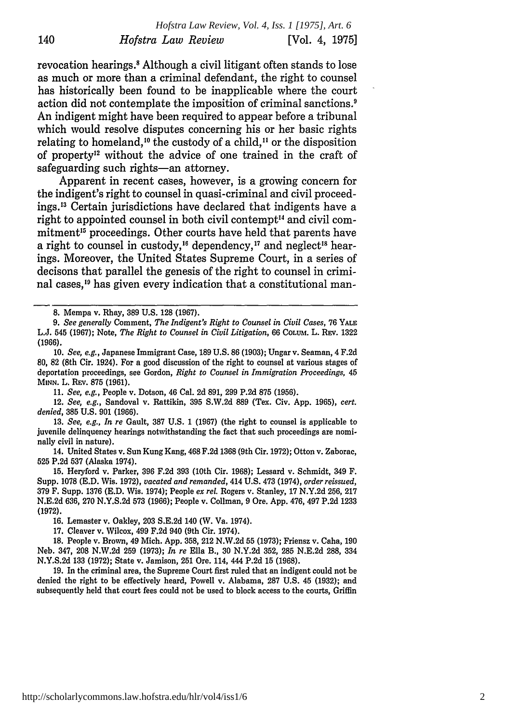revocation hearings.' Although a civil litigant often stands to lose as much or more than a criminal defendant, the right to counsel has historically been found to be inapplicable where the court action did not contemplate the imposition of criminal sanctions.<sup>9</sup> An indigent might have been required to appear before a tribunal which would resolve disputes concerning his or her basic rights relating to homeland,<sup>10</sup> the custody of a child,<sup>11</sup> or the disposition of property'2 without the advice of one trained in the craft of safeguarding such rights-an attorney.

Apparent in recent cases, however, is a growing concern for the indigent's right to counsel in quasi-criminal and civil proceedings.'3 Certain jurisdictions have declared that indigents have a right to appointed counsel in both civil contempt<sup>14</sup> and civil commitment'5 proceedings. Other courts have held that parents have a right to counsel in custody,<sup>16</sup> dependency,<sup>17</sup> and neglect<sup>18</sup> hearings. Moreover, the United States Supreme Court, in a series of decisons that parallel the genesis of the right to counsel in criminal cases,<sup>19</sup> has given every indication that a constitutional man-

**8.** Mempa v. Rhay, **389 U.S. 128** (1967).

*9. See generally* Comment, *The Indigent's Right to Counsel in Civil Cases,* 76 YALE L.J. 545 (1967); Note, *The Right to Counsel in Civil Litigation,* 66 **COLUM.** L. **REV.** 1322 **(1966).**

**10.** *See, e.g.,* Japanese Immigrant Case, **189 U.S. 86 (1903);** Ungar v. Seaman, 4 F.2d **80,** 82 (8th Cir. 1924). For a good discussion of the right to counsel at various stages of deportation proceedings, see Gordon, *Right to Counsel in Immigration Proceedings, 45* MINN. L. REV. **875** (1961).

11. *See, e.g.,* People v. Dotson, 46 Cal. 2d 891, 299 P.2d 875 (1956).

12. *See, e.g.,* Sandoval v. Rattikin, 395 S.W.2d 889 (Tex. Civ. App. 1965), *cert. denied,* 385 U.S. 901 (1966).

13. *See, e.g., In re* Gault, 387 U.S. 1 (1967) (the right to counsel is applicable to juvenile delinquency hearings notwithstanding the fact that such proceedings are nominally civil in nature).

14. United States v. Sun Kung Kang, 468 F.2d 1368 (9th Cir. 1972); Otton v. Zaborac, 525 P.2d **537** (Alaska 1974).

15. Heryford v. Parker, **396** F.2d 393 (10th Cir. 1968); Lessard v. Schmidt, 349 F. Supp. 1078 (E.D. Wis. 1972), *vacated and remanded,* 414 U.S. 473 (1974), *order reissued,* 379 F. Supp. 1376 (E.D. Wis. 1974); People *ex rel.* Rogers v. Stanley, 17 N.Y.2d 256, 217 N.E.2d 636, 270 N.Y.S.2d 573 (1966); People v. Collman, 9 Ore. App. 476, 497 P.2d 1233 **(1972).**

16. Lemaster v. Oakley, 203 S.E.2d 140 (W. Va. 1974).

17. Cleaver v. Wilcox, 499 F.2d 940 (9th Cir. 1974).

18. People v. Brown, 49 Mich. App. 358, 212 N.W.2d 55 (1973); Friensz v. Caha, 190 Neb. 347, 208 N.W.2d 259 (1973); *In re* Ella B., **30** N.Y.2d 352, 285 N.E.2d 288, 334 N.Y.S.2d 133 (1972); State v. Jamison, 251 Ore. 114, 444 P.2d 15 (1968).

19. In the criminal area, the Supreme Court first ruled that an indigent could not be denied the right to be effectively heard, Powell v. Alabama, 287 U.S. 45 (1932); and subsequently held that court fees could not be used to block access to the courts, Griffin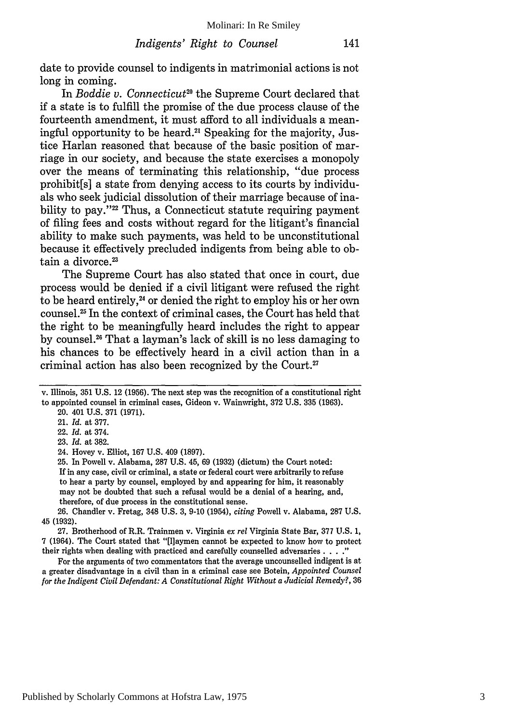date to provide counsel to indigents in matrimonial actions is not long in coming.

In *Boddie v. Connecticut*<sup>20</sup> the Supreme Court declared that if a state is to fulfill the promise of the due process clause of the fourteenth amendment, it must afford to all individuals a meaningful opportunity to be heard.21 Speaking for the majority, Justice Harlan reasoned that because of the basic position of marriage in our society, and because the state exercises a monopoly over the means of terminating this relationship, "due process prohibit[s] a state from denying access to its courts by individuals who seek judicial dissolution of their marriage because of inability to pay."<sup>22</sup> Thus, a Connecticut statute requiring payment of filing fees and costs without regard for the litigant's financial ability to make such payments, was held to be unconstitutional because it effectively precluded indigents from being able to obtain a divorce.<sup>23</sup>

The Supreme Court has also stated that once in court, due process would be denied if a civil litigant were refused the right to be heard entirely,<sup>24</sup> or denied the right to employ his or her own counsel.25 In the context of criminal cases, the Court has held that the right to be meaningfully heard includes the right to appear by counsel.<sup>26</sup> That a layman's lack of skill is no less damaging to his chances to be effectively heard in a civil action than in a criminal action has also been recognized by the Court.<sup>27</sup>

25. In Powell v. Alabama, 287 U.S. 45, 69 (1932) (dictum) the Court noted: If in any case, civil or criminal, a state or federal court were arbitrarily to refuse to hear a party by counsel, employed by and appearing for him, it reasonably may not be doubted that such a refusal would be a denial of a hearing, and, therefore, of due process in the constitutional sense.

26. Chandler v. Fretag, 348 U.S. 3, 9-10 (1954), *citing* Powell v. Alabama, 287 U.S. 45 (1932).

27. Brotherhood of R.R. Trainmen v. Virginia *ex rel* Virginia State Bar, **377** U.S. 1, 7 (1964). The Court stated that "[1laymen cannot be expected to know how to protect their rights when dealing with practiced and carefully counselled adversaries. **.. "**

For the arguments of two commentators that the average uncounselled indigent is at a greater disadvantage in a civil than in a criminal case see Botein, *Appointed Counsel for the Indigent Civil Defendant: A Constitutional Right Without a Judicial Remedy?,* 36

v. Illinois, 351 U.S. 12 (1956). The next step was the recognition of a constitutional right to appointed counsel in criminal cases, Gideon v. Wainwright, **372 U.S. 335 (1963).** 20. 401 U.S. 371 (1971).

<sup>21.</sup> *Id.* at 377.

<sup>22.</sup> *Id.* at 374.

<sup>23.</sup> *Id.* at 382.

<sup>24.</sup> Hovey v. Elliot, 167 U.S. 409 (1897).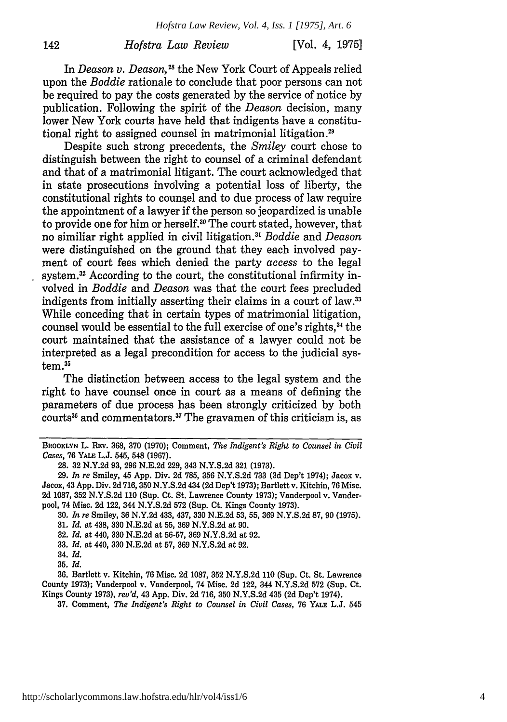# *Hofstra Law Review*

[Vol. 4, **1975]**

In *Deason v. Deason*<sup>28</sup> the New York Court of Appeals relied upon the *Boddie* rationale to conclude that poor persons can not be required to pay the costs generated by the service of notice by publication. Following the spirit of the *Deason* decision, many lower New York courts have held that indigents have a constitutional right to assigned counsel in matrimonial litigation.<sup>29</sup>

Despite such strong precedents, the *Smiley* court chose to distinguish between the right to counsel of a criminal defendant and that of a matrimonial litigant. The court acknowledged that in state prosecutions involving a potential loss of liberty, the constitutional rights to counsel and to due process of law require the appointment of a lawyer if the person so jeopardized is unable to provide one for him or herself.30 The court stated, however, that no similiar right applied in civil litigation.3 <sup>1</sup>*Boddie* and *Deason* were distinguished on the ground that they each involved payment of court fees which denied the party *access* to the legal system.<sup>32</sup> According to the court, the constitutional infirmity involved in *Boddie* and *Deason* was that the court fees precluded indigents from initially asserting their claims in a court of **law. <sup>33</sup>** While conceding that in certain types of matrimonial litigation, counsel would be essential to the full exercise of one's rights, 34 the court maintained that the assistance of a lawyer could not be interpreted as a legal precondition for access to the judicial system.<sup>35</sup>

The distinction between access to the legal system and the right to have counsel once in court as a means of defining the parameters of due process has been strongly criticized by both courts<sup>36</sup> and commentators.<sup>37</sup> The gravamen of this criticism is, as

**33.** *Id.* at 440, 330 N.E.2d at 57, 369 N.Y.S.2d at 92.

142

**35.** *Id.*

36. Bartlett v. Kitchin, 76 Misc. 2d 1087, 352 N.Y.S.2d 110 (Sup. Ct. St. Lawrence County 1973); Vanderpool v. Vanderpool, 74 Misc. 2d 122, 344 N.Y.S.2d 572 (Sup. Ct. Kings County 1973), *rev'd,* 43 App. Div. 2d 716, 350 N.Y.S.2d 435 (2d Dep't 1974).

37. Comment, *The Indigent's Right to Counsel in Civil Cases,* 76 YALE L.J. 545

BROOKLYN L. REv. 368, 370 (1970); Comment, *The Indigent's Right to Counsel in Civil Cases,* 76 **YALE** L.J. 545, 548 (1967).

<sup>28. 32</sup> N.Y.2d 93, 296 N.E.2d 229, 343 N.Y.S.2d 321 (1973).

<sup>29.</sup> *In re* Smiley, 45 App. Div. 2d 785, 356 N.Y.S.2d 733 (3d Dep't 1974); Jacox v. Jacox, 43 App. Div. 2d 716, 350 N.Y.S.2d 434 (2d Dep't 1973); Bartlett v. Kitchin, 76 Misc. 2d 1087, 352 N.Y.S.2d **110** (Sup. Ct. St. Lawrence County 1973); Vanderpool v. Vanderpool, 74 Misc. 2d 122, 344 N.Y.S.2d 572 (Sup. Ct. Kings County 1973).

<sup>30.</sup> *In re* Smiley, 36 N.Y.2d 433, 437, 330 N.E.2d 53, 55, 369 N.Y.S.2d 87, 90 (1975).

<sup>31.</sup> *Id.* at 438, 330 N.E.2d at 55, 369 N.Y.S.2d at 90.

<sup>32.</sup> *Id.* at 440, 330 N.E.2d at 56-57, 369 N.Y.S.2d at 92.

<sup>34.</sup> *Id.*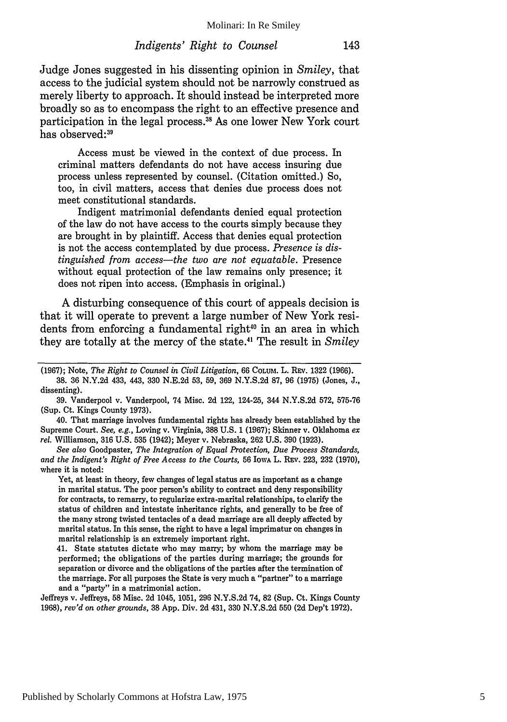Judge Jones suggested in his dissenting opinion in *Smiley,* that access to the judicial system should not be narrowly construed as merely liberty to approach. It should instead be interpreted more broadly so as to encompass the right to an effective presence and participation in the legal process.<sup>38</sup> As one lower New York court has observed:39

Access must be viewed in the context of due process. In criminal matters defendants do not have access insuring due process unless represented by counsel. (Citation omitted.) So, too, in civil matters, access that denies due process does not meet constitutional standards.

Indigent matrimonial defendants denied equal protection of the law do not have access to the courts simply because they are brought in by plaintiff. Access that denies equal protection is not the access contemplated by due process. *Presence is distinguished from access-the two are not equatable.* Presence without equal protection of the law remains only presence; it does not ripen into access. (Emphasis in original.)

A disturbing consequence of this court of appeals decision is that it will operate to prevent a large number of New York residents from enforcing a fundamental right<sup>40</sup> in an area in which they are totally at the mercy of the state." The result in *Smiley*

(1967); Note, *The Right to Counsel in Civil Litigation,* 66 COLUM. L. REV. 1322 (1966). 38. 36 N.Y.2d 433, 443, 330 N.E.2d 53, 59, 369 N.Y.S.2d 87, 96 (1975) (Jones, J., dissenting).

39. Vanderpool v. Vanderpool, 74 Misc. 2d 122, 124-25, 344 N.Y.S.2d 572, 575-76 (Sup. Ct. Kings County 1973).

40. That marriage involves fundamental rights has already been established by the Supreme Court. *See, e.g.,* Loving v. Virginia, 388 U.S. 1 (1967); Skinner v. Oklahoma *ex rel.* Williamson, 316 U.S. 535 (1942); Meyer v. Nebraska, 262 U.S. 390 (1923).

*See also* Goodpaster, *The Integration of Equal Protection, Due Process Standards, and the Indigent's Right of Free Access to the Courts,* 56 IowA L. **REV.** 223, **232** (1970), where it is noted:

Yet, at least in theory, few changes of legal status are as important as a change in marital status. The poor person's ability to contract and deny responsibility for contracts, to remarry, to regularize extra-marital relationships, to clarify the status of children and intestate inheritance rights, and generally to be free of the many strong twisted tentacles of a dead marriage are all deeply affected by marital status. In this sense, the right to have a legal imprimatur on changes in marital relationship is an extremely important right.

41. State statutes dictate who may marry; by whom the marriage may be performed; the obligations of the parties during marriage; the grounds for separation or divorce and the obligations of the parties after the termination of the marriage. For all purposes the State is very much a "partner" to a marriage and a "party" in a matrimonial action.

Jeffreys v. Jeffreys, 58 Misc. 2d 1045, 1051, 296 N.Y.S.2d 74, 82 (Sup. Ct. Kings County 1968), *rev'd on other grounds,* 38 App. Div. 2d 431, 330 N.Y.S.2d 550 (2d Dep't 1972).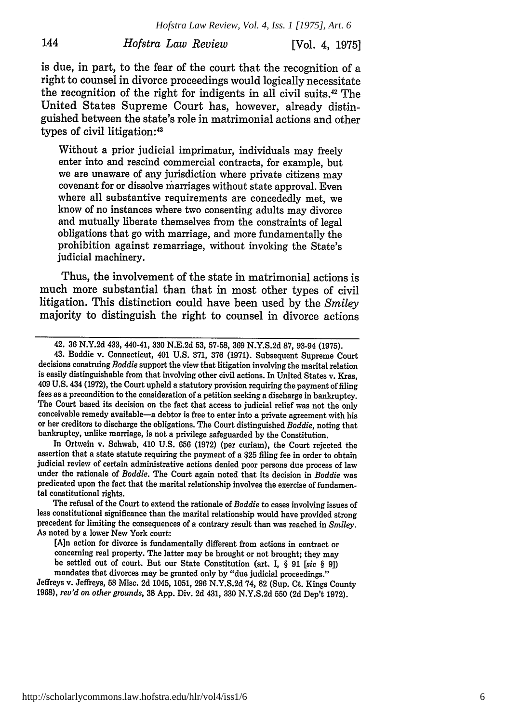# *Hofstra Law Review* [Vol. 4, 1975]

144

is due, in part, to the fear of the court that the recognition of a right to counsel in divorce proceedings would logically necessitate the recognition of the right for indigents in all civil suits.<sup>42</sup> The United States Supreme Court has, however, already distinguished between the state's role in matrimonial actions and other types of civil litigation:43

Without a prior judicial imprimatur, individuals may freely enter into and rescind commercial contracts, for example, but we are unaware of any jurisdiction where private citizens may covenant for or dissolve marriages without state approval. Even where all substantive requirements are concededly met, we know of no instances where two consenting adults may divorce and mutually liberate themselves from the constraints of legal obligations that go with marriage, and more fundamentally the prohibition against remarriage, without invoking the State's judicial machinery.

Thus, the involvement of the state in matrimonial actions is much more substantial than that in most other types of civil litigation. This distinction could have been used by the *Smiley* majority to distinguish the right to counsel in divorce actions

In Ortwein v. Schwab, 410 U.S. 656 (1972) (per curiam), the Court rejected the assertion that a state statute requiring the payment of a \$25 filing fee in order to obtain judicial review of certain administrative actions denied poor persons due process of law under the rationale of *Boddie.* The Court again noted that its decision in *Boddie* was predicated upon the fact that the marital relationship involves the exercise of fundamental constitutional rights.

The refusal of the Court to extend the rationale of *Boddie* to cases involving issues of less constitutional significance than the marital relationship would have provided strong precedent for limiting the consequences of a contrary result than was reached in *Smiley.* As noted by a lower New York court:

Jeffreys v. Jeffreys, **58** Misc. 2d 1045, 1051, **296** N.Y.S.2d 74, 82 (Sup. Ct. Kings County 1968), *rev'd on other grounds,* 38 App. Div. 2d 431, 330 N.Y.S.2d 550 (2d Dep't 1972).

<sup>42.</sup> **36 N.Y.2d** 433, 440-41, **330 N.E.2d 53, 57-58, 369 N.Y.S.2d 87,** 93-94 **(1975).**

<sup>43.</sup> Boddie v. Connecticut, 401 U.S. 371, 376 (1971). Subsequent Supreme Court decisions construing *Boddie* support the view that litigation involving the marital relation is easily distinguishable from that involving other civil actions. In United States v. Kras, 409 U.S. 434 (1972), the Court upheld a statutory provision requiring the payment of filing fees as a precondition to the consideration of a petition seeking a discharge in bankruptcy. The Court based its decision on the fact that access to judicial relief was not the only conceivable remedy available-a debtor is free to enter into a private agreement with his or her creditors to discharge the obligations. The Court distinguished *Boddie,* noting that bankruptcy, unlike marriage, is not a privilege safeguarded by the Constitution.

<sup>[</sup>A]n action for divorce is fundamentally different from actions in contract or concerning real property. The latter may be brought or not brought; they may be settled out of court. But our State Constitution (art. I, § 91 *[sic §* 9]) mandates that divorces may be granted only by "due judicial proceedings."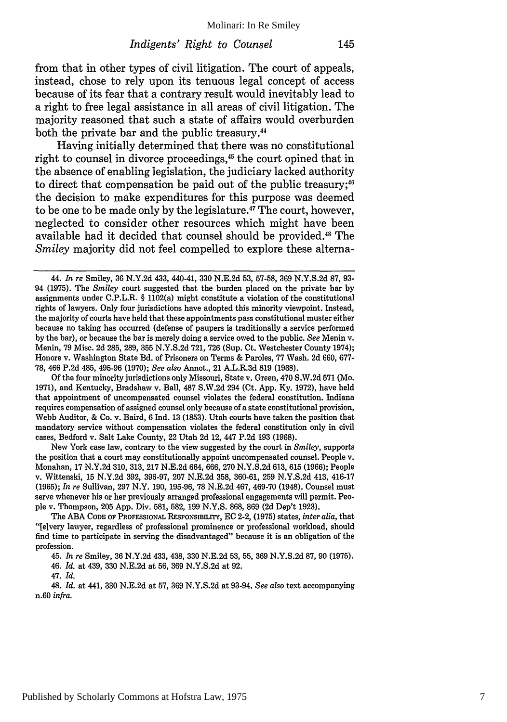from that in other types of civil litigation. The court of appeals, instead, chose to rely upon its tenuous legal concept of access because of its fear that a contrary result would inevitably lead to a right to free legal assistance in all areas of civil litigation. The majority reasoned that such a state of affairs would overburden both the private bar and the public treasury.44

Having initially determined that there was no constitutional right to counsel in divorce proceedings,<sup>45</sup> the court opined that in the absence of enabling legislation, the judiciary lacked authority to direct that compensation be paid out of the public treasury;  $6$ the decision to make expenditures for this purpose was deemed to be one to be made only by the legislature.47 The court, however, neglected to consider other resources which might have been available had it decided that counsel should be provided.<sup>48</sup> The *Smiley* majority did not feel compelled to explore these alterna-

**Of** the four minority jurisdictions only Missouri, State v. Green, 470 **S.W.2d 571** (Mo. **1971),** and Kentucky, Bradshaw v. Ball, **487 S.W.2d** 294 (Ct. **App. Ky. 1972),** have held that appointment of uncompensated counsel violates the federal constitution. Indiana requires compensation of assigned counsel only because of a state constitutional provision, Webb Auditor, & Co. v. Baird, 6 Ind. 13 (1853). Utah courts have taken the position that mandatory service without compensation violates the federal constitution only in civil cases, Bedford v. Salt Lake County, 22 Utah 2d 12, 447 P.2d 193 (1968).

New York case law, contrary to the view suggested by the court in *Smiley,* supports the position that a court may constitutionally appoint uncompensated counsel. People v. Monahan, 17 N.Y.2d 310, 313, 217 N.E.2d 664, 666, 270 N.Y.S.2d 613, 615 (1966); People v. Wittenski, 15 N.Y.2d 392, 396-97, 207 N.E.2d 358, 360-61, 259 N.Y.S.2d 413, 416-17 (1965); *In re* Sullivan, 297 N.Y. 190, 195-96, 78 N.E.2d 467, 469-70 (1948). Counsel must serve whenever his or her previously arranged professional engagements will permit. People v. Thompson, 205 App. Div. 581, 582, 199 N.Y.S. 868, 869 (2d Dep't 1923).

The **ABA CODE** OF PROFESSIONAL **RESPONSIBILITY,** EC 2-2, (1975) states, *inter alia,* that "[elvery lawyer, regardless of professional prominence or professional workload, should find time to participate in serving the disadvantaged" because it is an obligation of the profession.

45. *In re* Smiley, **36 N.Y.2d** 433, 438, **330 N.E.2d 53, 55, 369 N.Y.S.2d 87, 90 (1975).**

46. *Id.* at 439, **330 N.E.2d** at **56, 369 N.Y.S.2d** at **92.**

48. *Id.* at 441, **330 N.E.2d** at **57,** 369 **N.Y.S.2d** at 93-94. *See also* text accompanying n.60 *infra.*

<sup>44.</sup> *In re* Smiley, 36 N.Y.2d 433, 440-41, 330 N.E.2d 53, 57-58, 369 N.Y.S.2d 87, 93- 94 **(1975).** The *Smiley* court suggested that the burden placed on the private bar by assignments under C.P.L.R. § 1102(a) might constitute a violation of the constitutional rights of lawyers. Only four jurisdictions have adopted this minority viewpoint. Instead, the majority of courts have held that these appointments pass constitutional muster either because no taking has occurred (defense of paupers is traditionally a service performed **by** the bar), or because the bar is merely doing a service owed to the public. *See* Menin v. Menin, **79** Misc. 2d **285, 289, 355 N.Y.S.2d 721, 726** (Sup. Ct. Westchester County 1974); Honore v. Washington State Bd. of Prisoners on Terms & Paroles, **77** Wash. **2d 660, 677- 78,** 466 **P.2d** 485, **495-96 (1970);** *See also* **Annot.,** 21 A.L.R.3d **819 (1968).**

<sup>47.</sup> *Id.*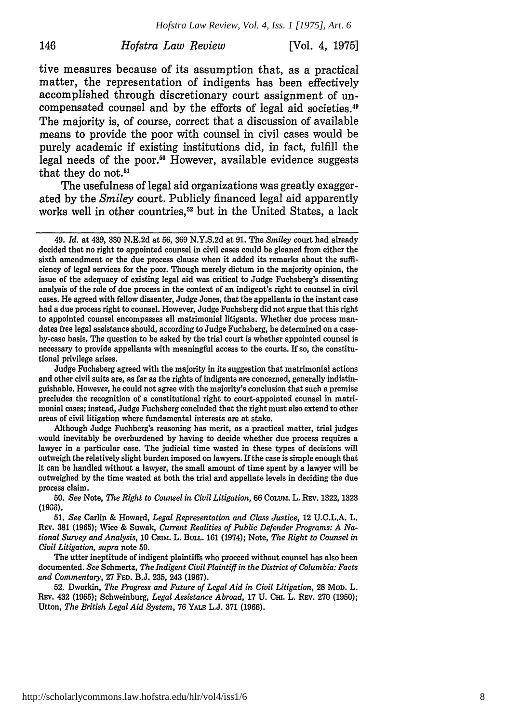#### *Hofstra Law Review* [Vol. 4, 1975]

146

tive measures because of its assumption that, as a practical matter, the representation of indigents has been effectively accomplished through discretionary court assignment of uncompensated counsel and by the efforts of legal aid societies.<sup>49</sup> The majority is, of course, correct that a discussion of available means to provide the poor with counsel in civil cases would be purely academic if existing institutions did, in fact, fulfill the legal needs of the poor.<sup>50</sup> However, available evidence suggests that they do **not.51**

The usefulness of legal aid organizations was greatly exaggerated by the *Smiley* court. Publicly financed legal aid apparently works well in other countries,<sup>52</sup> but in the United States, a lack

<sup>49.</sup> *Id.* at 439, **330** N.E.2d at **56, 369** N.Y.S.2d at **91.** The *Smiley* court had already decided that no right to appointed counsel in civil cases could be gleaned from either the sixth amendment or the due process clause when it added its remarks about the sufficiency of legal services for the poor. Though merely dictum in the majority opinion, the issue of the adequacy of existing legal aid was critical to Judge Fuchsberg's dissenting analysis of the role of due process in the context of an indigent's right to counsel in civil cases. He agreed with fellow dissenter, Judge Jones, that the appellants in the instant case had a due process right to counsel. However, Judge Fuchsberg did not argue that this right to appointed counsel encompasses all matrimonial litigants. Whether due process mandates free legal assistance should, according to Judge Fuchsberg, **be** determined on a caseby-case basis. The question to be asked **by** the trial court is whether appointed counsel is necessary to provide appellants with meaningful access to the courts. If so, the constitutional privilege arises.

Judge Fuchsberg agreed with the majority in its suggestion that matrimonial actions and other civil suits are, as far as the rights of indigents are concerned, generally indistinguishable. However, he could not agree with the majority's conclusion that such a premise precludes the recognition of a constitutional right to court-appointed counsel in matrimonial cases; instead, Judge Fuchsberg concluded that the right must also extend to other areas of civil litigation where fundamental interests are at stake.

Although Judge Fuchberg's reasoning has merit, as a practical matter, trial judges would inevitably be overburdened **by** having to decide whether due process requires a lawyer in a particular case. The judicial time wasted in these types of decisions will outweigh the relatively slight burden imposed on lawyers. If the case is simple enough that it can be handled without a lawyer, the small amount of time spent **by** a lawyer will be outweighed **by** the time wasted at both the trial and appellate levels in deciding the due process claim.

**<sup>50.</sup>** *See* Note, *The Right to Counsel in Civil Litigation,* 66 **COLUM.** L. REv. 1322, 1323 (19G6).

**<sup>51.</sup>** *See* Carlin & Howard, *Legal Representation and Class Justice,* 12 **U.C.L.A.** L. REv. 381 **(1965);** Wice & Suwak, *Current Realities of Public Defender Programs: A National Survey and Analysis,* 10 **CRIM.** L. BULL. 161 (1974); Note, *The Right to Counsel in Civil Litigation, supra* note **50.**

The utter ineptitude of indigent plaintiffs who proceed without counsel has also been documented. *See* Schmertz, *The Indigent Civil Plaintiff in the District of Columbia: Facts and Commentary,* 27 **FED.** B.J. 235, 243 (1967).

<sup>52.</sup> Dworkin, *The Progress and Future of Legal Aid in Civil Litigation,* 28 **MOD.** L. **REv.** 432 (1965); Schweinburg, *Legal Assistance Abroad,* 17 U. **Cm.** L. REv. 270 (1950); Utton, *The British Legal Aid System,* 76 **YALE** L.J. 371 (1966).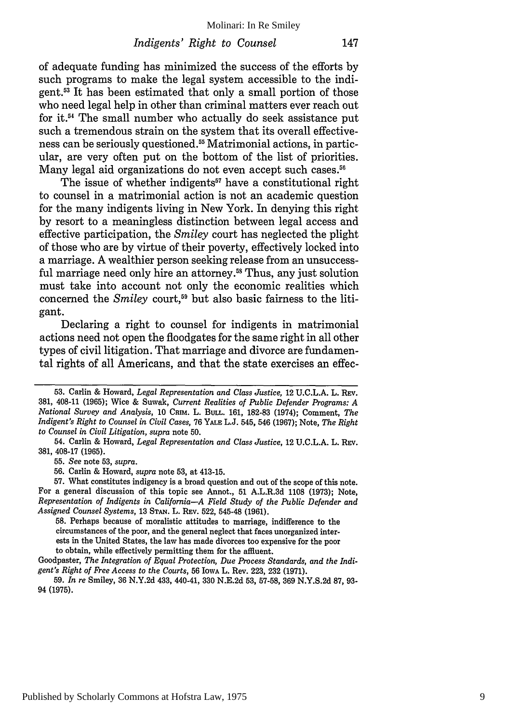of adequate funding has minimized the success of the efforts by such programs to make the legal system accessible to the indigent.<sup>53</sup> It has been estimated that only a small portion of those who need legal help in other than criminal matters ever reach out for it.<sup>54</sup> The small number who actually do seek assistance put such a tremendous strain on the system that its overall effectiveness can be seriously questioned.<sup>55</sup> Matrimonial actions, in particular, are very often put on the bottom of the list of priorities. Many legal aid organizations do not even accept such cases.<sup>56</sup>

The issue of whether indigents<sup>57</sup> have a constitutional right to counsel in a matrimonial action is not an academic question for the many indigents living in New York. In denying this right by resort to a meaningless distinction between legal access and effective participation, the *Smiley* court has neglected the plight of those who are by virtue of their poverty, effectively locked into a marriage. A wealthier person seeking release from an unsuccessful marriage need only hire an attorney.<sup>58</sup> Thus, any just solution must take into account not only the economic realities which concerned the *Smiley* court,59 but also basic fairness to the litigant.

Declaring a right to counsel for indigents in matrimonial actions need not open the floodgates for the same right in all other types of civil litigation. That marriage and divorce are fundamental rights of all Americans, and that the state exercises an effec-

56. Carlin & Howard, *supra* note 53, at 413-15.

58. Perhaps because of moralistic attitudes to marriage, indifference to the circumstances of the poor, and the general neglect that faces unorganized interests in the United States, the law has made divorces too expensive for the poor to obtain, while effectively permitting them for the affluent.

Goodpaster, *The Integration of Equal Protection, Due Process Standards, and the Indigent's Right of Free Access to the Courts,* 56 IowA L. Rev. 223, 232 (1971).

59. *In re* Smiley, 36 N.Y.2d 433, 440-41, 330 N.E.2d **53,** 57-58, 369 N.Y.S.2d 87, 93- 94 **(1975).**

**<sup>53.</sup>** Carlin & Howard, *Legal Representation and Class Justice,* 12 **U.C.L.A.** L. **REV.** 381, 408-11 (1965); Wice & Suwak, *Current Realities of Public Defender Programs: A National Survey and Analysis, 10 CRIM. L. BULL. 161, 182-83 (1974); Comment. The Indigent's Right to Counsel in Civil Cases,* 76 **YALE** L.J. 545, 546 (1967); Note, *The Right to Counsel in Civil Litigation, supra* note 50.

<sup>54.</sup> Carlin & Howard, *Legal Representation and Class Justice,* 12 U.C.L.A. L. REv. 381, 408-17 (1965).

<sup>55.</sup> *See* note 53, *supra.*

<sup>57.</sup> What constitutes indigency is a broad question and out of the scope of this note. For a general discussion of this topic see Annot., **51** A.L.R.3d 1108 (1973); Note, *Representation of Indigents in California-A Field Study of the Public Defender and Assigned Counsel Systems,* 13 **STAN.** L. REV. 522, 545-48 (1961).